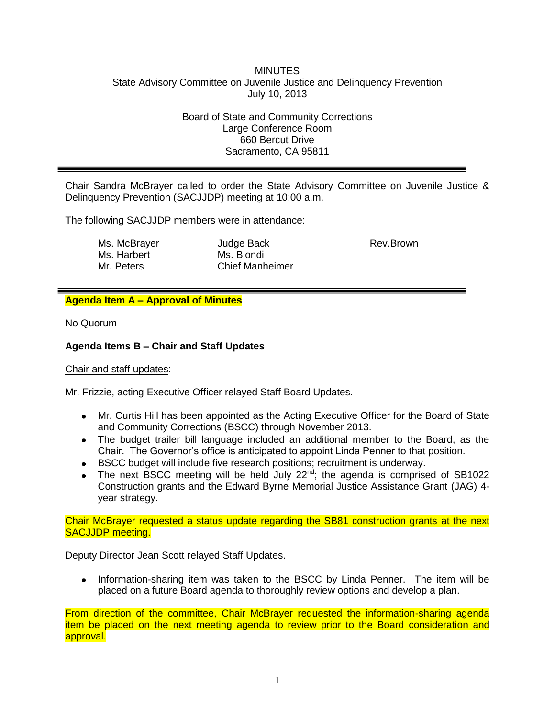#### **MINUTES** State Advisory Committee on Juvenile Justice and Delinquency Prevention July 10, 2013

Board of State and Community Corrections Large Conference Room 660 Bercut Drive Sacramento, CA 95811

Chair Sandra McBrayer called to order the State Advisory Committee on Juvenile Justice & Delinquency Prevention (SACJJDP) meeting at 10:00 a.m.

The following SACJJDP members were in attendance:

| Ms. McBrayer |
|--------------|
| Ms. Harbert  |
| Mr. Peters   |

Judge Back Ms. Biondi Chief Manheimer Rev.Brown

# **Agenda Item A – Approval of Minutes**

No Quorum

# **Agenda Items B – Chair and Staff Updates**

Chair and staff updates:

Mr. Frizzie, acting Executive Officer relayed Staff Board Updates.

- Mr. Curtis Hill has been appointed as the Acting Executive Officer for the Board of State and Community Corrections (BSCC) through November 2013.
- The budget trailer bill language included an additional member to the Board, as the Chair. The Governor's office is anticipated to appoint Linda Penner to that position.
- BSCC budget will include five research positions; recruitment is underway.
- The next BSCC meeting will be held July  $22^{nd}$ ; the agenda is comprised of SB1022 Construction grants and the Edward Byrne Memorial Justice Assistance Grant (JAG) 4 year strategy.

Chair McBrayer requested a status update regarding the SB81 construction grants at the next SACJJDP meeting.

Deputy Director Jean Scott relayed Staff Updates.

Information-sharing item was taken to the BSCC by Linda Penner. The item will be  $\bullet$ placed on a future Board agenda to thoroughly review options and develop a plan.

From direction of the committee, Chair McBrayer requested the information-sharing agenda item be placed on the next meeting agenda to review prior to the Board consideration and approval.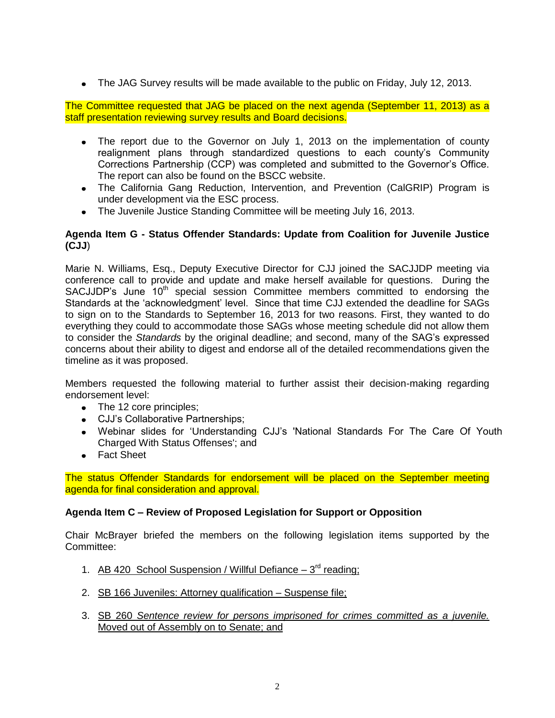The JAG Survey results will be made available to the public on Friday, July 12, 2013.

The Committee requested that JAG be placed on the next agenda (September 11, 2013) as a staff presentation reviewing survey results and Board decisions.

- The report due to the Governor on July 1, 2013 on the implementation of county realignment plans through standardized questions to each county's Community Corrections Partnership (CCP) was completed and submitted to the Governor's Office. The report can also be found on the BSCC website.
- The California Gang Reduction, Intervention, and Prevention (CalGRIP) Program is under development via the ESC process.
- The Juvenile Justice Standing Committee will be meeting July 16, 2013.

# **Agenda Item G - Status Offender Standards: Update from Coalition for Juvenile Justice (CJJ**)

Marie N. Williams, Esq., Deputy Executive Director for CJJ joined the SACJJDP meeting via conference call to provide and update and make herself available for questions. During the SACJJDP's June  $10<sup>th</sup>$  special session Committee members committed to endorsing the Standards at the 'acknowledgment' level. Since that time CJJ extended the deadline for SAGs to sign on to the Standards to September 16, 2013 for two reasons. First, they wanted to do everything they could to accommodate those SAGs whose meeting schedule did not allow them to consider the *Standards* by the original deadline; and second, many of the SAG's expressed concerns about their ability to digest and endorse all of the detailed recommendations given the timeline as it was proposed.

Members requested the following material to further assist their decision-making regarding endorsement level:

- The 12 core principles;
- CJJ's Collaborative Partnerships;
- Webinar slides for 'Understanding CJJ's 'National Standards For The Care Of Youth Charged With Status Offenses'; and
- Fact Sheet

The status Offender Standards for endorsement will be placed on the September meeting agenda for final consideration and approval.

# **Agenda Item C – Review of Proposed Legislation for Support or Opposition**

Chair McBrayer briefed the members on the following legislation items supported by the Committee:

- 1. AB 420 School Suspension / Willful Defiance 3<sup>rd</sup> reading;
- 2. SB 166 Juveniles: Attorney qualification Suspense file;
- 3. SB 260 *Sentence review for persons imprisoned for crimes committed as a juvenile.* Moved out of Assembly on to Senate; and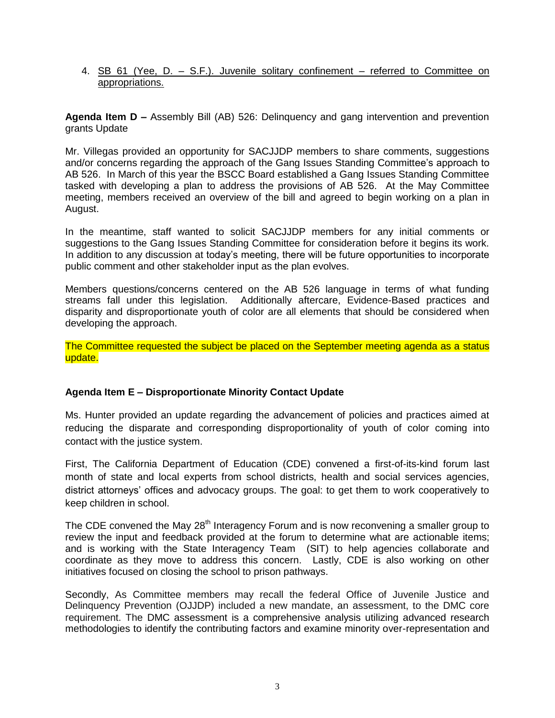4. SB 61 (Yee, D. – S.F.). Juvenile solitary confinement – referred to Committee on appropriations.

**Agenda Item D –** Assembly Bill (AB) 526: Delinquency and gang intervention and prevention grants Update

Mr. Villegas provided an opportunity for SACJJDP members to share comments, suggestions and/or concerns regarding the approach of the Gang Issues Standing Committee's approach to AB 526. In March of this year the BSCC Board established a Gang Issues Standing Committee tasked with developing a plan to address the provisions of AB 526. At the May Committee meeting, members received an overview of the bill and agreed to begin working on a plan in August.

In the meantime, staff wanted to solicit SACJJDP members for any initial comments or suggestions to the Gang Issues Standing Committee for consideration before it begins its work. In addition to any discussion at today's meeting, there will be future opportunities to incorporate public comment and other stakeholder input as the plan evolves.

Members questions/concerns centered on the AB 526 language in terms of what funding streams fall under this legislation. Additionally aftercare, Evidence-Based practices and disparity and disproportionate youth of color are all elements that should be considered when developing the approach.

The Committee requested the subject be placed on the September meeting agenda as a status update.

# **Agenda Item E – Disproportionate Minority Contact Update**

Ms. Hunter provided an update regarding the advancement of policies and practices aimed at reducing the disparate and corresponding disproportionality of youth of color coming into contact with the justice system.

First, The California Department of Education (CDE) convened a first-of-its-kind forum last month of state and local experts from school districts, health and social services agencies, district attorneys' offices and advocacy groups. The goal: to get them to work cooperatively to keep children in school.

The CDE convened the May 28<sup>th</sup> Interagency Forum and is now reconvening a smaller group to review the input and feedback provided at the forum to determine what are actionable items; and is working with the State Interagency Team (SIT) to help agencies collaborate and coordinate as they move to address this concern. Lastly, CDE is also working on other initiatives focused on closing the school to prison pathways.

Secondly, As Committee members may recall the federal Office of Juvenile Justice and Delinquency Prevention (OJJDP) included a new mandate, an assessment, to the DMC core requirement. The DMC assessment is a comprehensive analysis utilizing advanced research methodologies to identify the contributing factors and examine minority over-representation and